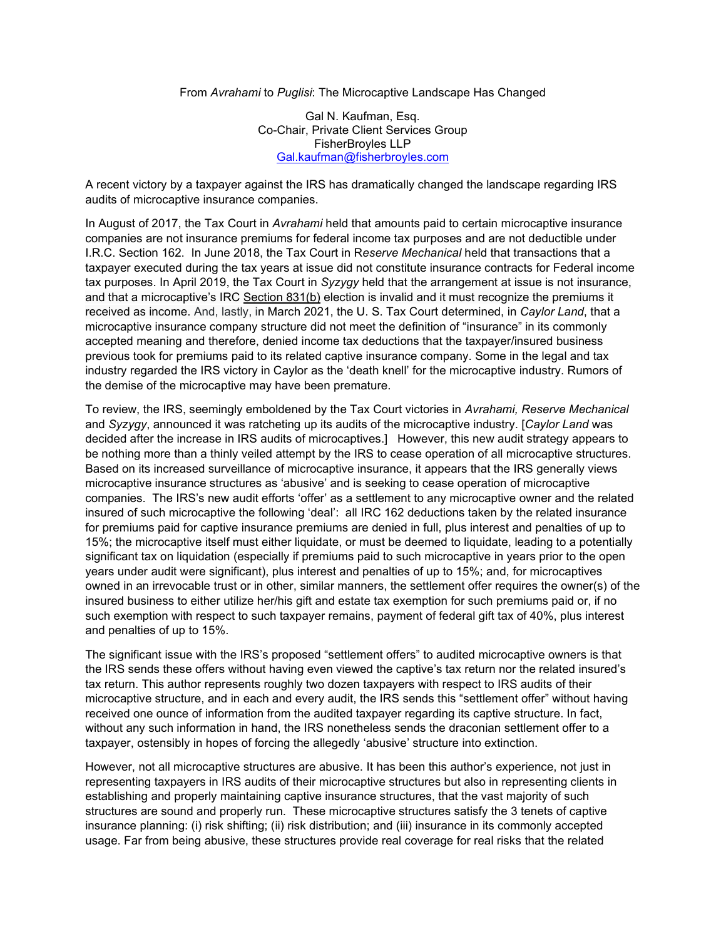From *Avrahami* to *Puglisi*: The Microcaptive Landscape Has Changed

Gal N. Kaufman, Esq. Co-Chair, Private Client Services Group FisherBroyles LLP [Gal.kaufman@fisherbroyles.com](mailto:Gal.kaufman@fisherbroyles.com)

A recent victory by a taxpayer against the IRS has dramatically changed the landscape regarding IRS audits of microcaptive insurance companies.

In August of 2017, the Tax Court in *Avrahami* held that amounts paid to certain microcaptive insurance companies are not insurance premiums for federal income tax purposes and are not deductible under I.R.C. Section 162. In June 2018, the Tax Court in R*eserve Mechanical* held that transactions that a taxpayer executed during the tax years at issue did not constitute insurance contracts for Federal income tax purposes. In April 2019, the Tax Court in *Syzygy* held that the arrangement at issue is not insurance, and that a microcaptive's IRC [Section 831\(b\)](https://casetext.com/statute/united-states-code/title-26-internal-revenue-code/subtitle-a-income-taxes/chapter-1-normal-taxes-and-surtaxes/subchapter-l-insurance-companies/part-ii-other-insurance-companies/section-831-tax-on-insurance-companies-other-than-life-insurance-companies) election is invalid and it must recognize the premiums it received as income. And, lastly, in March 2021, the U. S. Tax Court determined, in *Caylor Land*, that a microcaptive insurance company structure did not meet the definition of "insurance" in its commonly accepted meaning and therefore, denied income tax deductions that the taxpayer/insured business previous took for premiums paid to its related captive insurance company. Some in the legal and tax industry regarded the IRS victory in Caylor as the 'death knell' for the microcaptive industry. Rumors of the demise of the microcaptive may have been premature.

To review, the IRS, seemingly emboldened by the Tax Court victories in *Avrahami, Reserve Mechanical*  and *Syzygy*, announced it was ratcheting up its audits of the microcaptive industry. [*Caylor Land* was decided after the increase in IRS audits of microcaptives.] However, this new audit strategy appears to be nothing more than a thinly veiled attempt by the IRS to cease operation of all microcaptive structures. Based on its increased surveillance of microcaptive insurance, it appears that the IRS generally views microcaptive insurance structures as 'abusive' and is seeking to cease operation of microcaptive companies. The IRS's new audit efforts 'offer' as a settlement to any microcaptive owner and the related insured of such microcaptive the following 'deal': all IRC 162 deductions taken by the related insurance for premiums paid for captive insurance premiums are denied in full, plus interest and penalties of up to 15%; the microcaptive itself must either liquidate, or must be deemed to liquidate, leading to a potentially significant tax on liquidation (especially if premiums paid to such microcaptive in years prior to the open years under audit were significant), plus interest and penalties of up to 15%; and, for microcaptives owned in an irrevocable trust or in other, similar manners, the settlement offer requires the owner(s) of the insured business to either utilize her/his gift and estate tax exemption for such premiums paid or, if no such exemption with respect to such taxpayer remains, payment of federal gift tax of 40%, plus interest and penalties of up to 15%.

The significant issue with the IRS's proposed "settlement offers" to audited microcaptive owners is that the IRS sends these offers without having even viewed the captive's tax return nor the related insured's tax return. This author represents roughly two dozen taxpayers with respect to IRS audits of their microcaptive structure, and in each and every audit, the IRS sends this "settlement offer" without having received one ounce of information from the audited taxpayer regarding its captive structure. In fact, without any such information in hand, the IRS nonetheless sends the draconian settlement offer to a taxpayer, ostensibly in hopes of forcing the allegedly 'abusive' structure into extinction.

However, not all microcaptive structures are abusive. It has been this author's experience, not just in representing taxpayers in IRS audits of their microcaptive structures but also in representing clients in establishing and properly maintaining captive insurance structures, that the vast majority of such structures are sound and properly run. These microcaptive structures satisfy the 3 tenets of captive insurance planning: (i) risk shifting; (ii) risk distribution; and (iii) insurance in its commonly accepted usage. Far from being abusive, these structures provide real coverage for real risks that the related